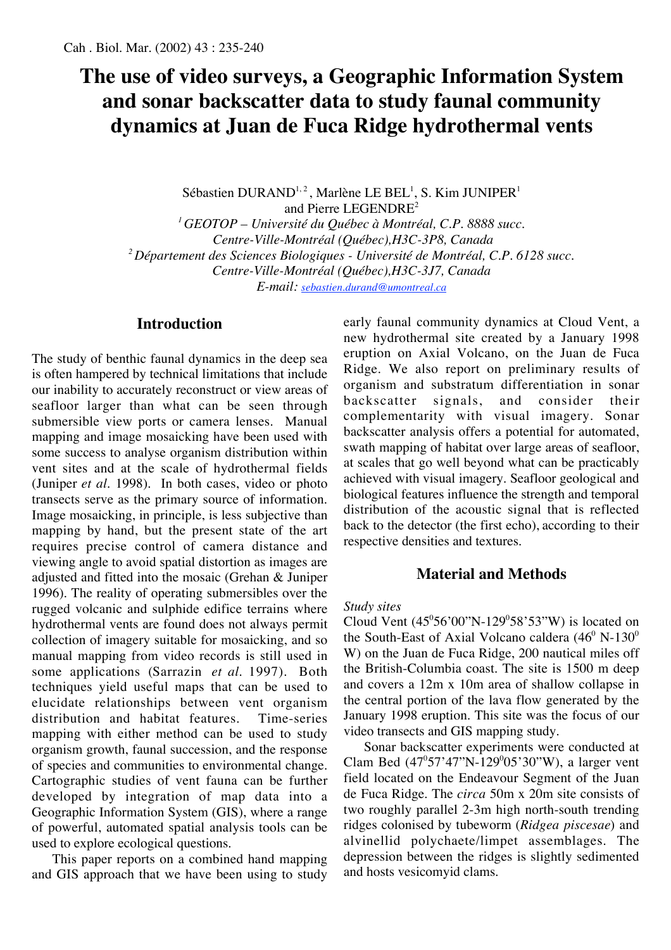# **The use of video surveys, a Geographic Information System and sonar backscatter data to study faunal community dynamics at Juan de Fuca Ridge hydrothermal vents**

Sébastien DURAND<sup>1,2</sup>, Marlène LE BEL<sup>1</sup>, S. Kim JUNIPER<sup>1</sup> and Pierre LEGENDRE<sup>2</sup> *1 GEOTOP – Université du Québec à Montréal, C.P. 8888 succ. Centre-Ville-Montréal (Québec),H3C-3P8, Canada 2 Département des Sciences Biologiques - Université de Montréal, C.P. 6128 succ. Centre-Ville-Montréal (Québec),H3C-3J7, Canada E-mail: sebastien.durand@umontreal.ca*

# **Introduction**

The study of benthic faunal dynamics in the deep sea is often hampered by technical limitations that include our inability to accurately reconstruct or view areas of seafloor larger than what can be seen through submersible view ports or camera lenses. Manual mapping and image mosaicking have been used with some success to analyse organism distribution within vent sites and at the scale of hydrothermal fields (Juniper *et al.* 1998). In both cases, video or photo transects serve as the primary source of information. Image mosaicking, in principle, is less subjective than mapping by hand, but the present state of the art requires precise control of camera distance and viewing angle to avoid spatial distortion as images are adjusted and fitted into the mosaic (Grehan & Juniper 1996). The reality of operating submersibles over the rugged volcanic and sulphide edifice terrains where hydrothermal vents are found does not always permit collection of imagery suitable for mosaicking, and so manual mapping from video records is still used in some applications (Sarrazin *et al.* 1997). Both techniques yield useful maps that can be used to elucidate relationships between vent organism distribution and habitat features. Time-series mapping with either method can be used to study organism growth, faunal succession, and the response of species and communities to environmental change. Cartographic studies of vent fauna can be further developed by integration of map data into a Geographic Information System (GIS), where a range of powerful, automated spatial analysis tools can be used to explore ecological questions.

This paper reports on a combined hand mapping and GIS approach that we have been using to study

early faunal community dynamics at Cloud Vent, a new hydrothermal site created by a January 1998 eruption on Axial Volcano, on the Juan de Fuca Ridge. We also report on preliminary results of organism and substratum differentiation in sonar backscatter signals, and consider their complementarity with visual imagery. Sonar backscatter analysis offers a potential for automated, swath mapping of habitat over large areas of seafloor, at scales that go well beyond what can be practicably achieved with visual imagery. Seafloor geological and biological features influence the strength and temporal distribution of the acoustic signal that is reflected back to the detector (the first echo), according to their respective densities and textures.

# **Material and Methods**

# *Study sites*

Cloud Vent  $(45^{\circ}56'00''N-129^{\circ}58'53''W)$  is located on the South-East of Axial Volcano caldera  $(46^{\circ} N \cdot 130^{\circ})$ W) on the Juan de Fuca Ridge, 200 nautical miles off the British-Columbia coast. The site is 1500 m deep and covers a 12m x 10m area of shallow collapse in the central portion of the lava flow generated by the January 1998 eruption. This site was the focus of our video transects and GIS mapping study.

Sonar backscatter experiments were conducted at Clam Bed  $(47^{\circ}57'47''N-129^{\circ}05'30''W)$ , a larger vent field located on the Endeavour Segment of the Juan de Fuca Ridge. The *circa* 50m x 20m site consists of two roughly parallel 2-3m high north-south trending ridges colonised by tubeworm (*Ridgea piscesae*) and alvinellid polychaete/limpet assemblages. The depression between the ridges is slightly sedimented and hosts vesicomyid clams.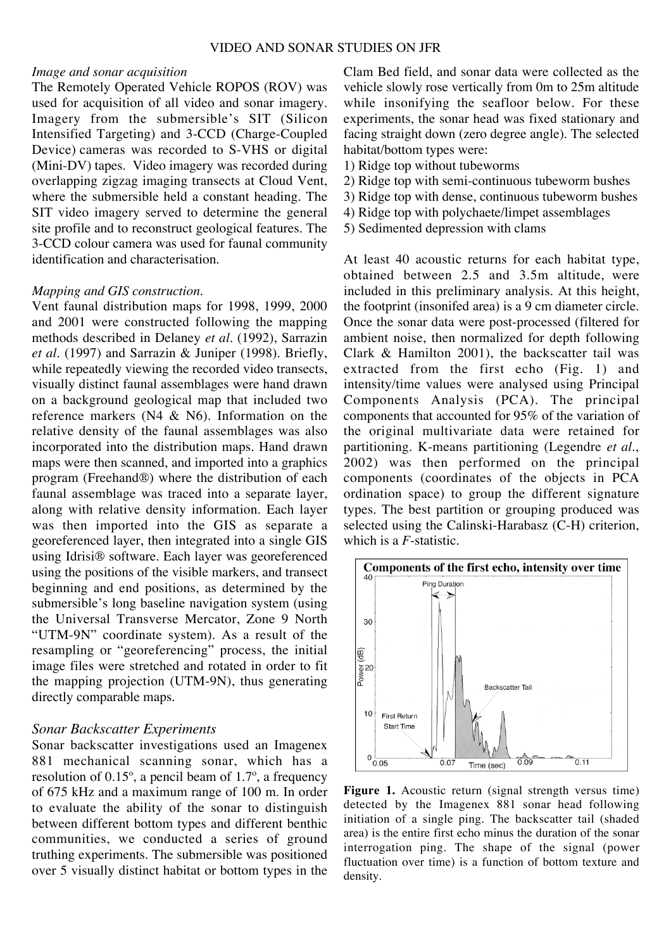#### *Image and sonar acquisition*

The Remotely Operated Vehicle ROPOS (ROV) was used for acquisition of all video and sonar imagery. Imagery from the submersible's SIT (Silicon Intensified Targeting) and 3-CCD (Charge-Coupled Device)!cameras was recorded to S-VHS or digital (Mini-DV) tapes. Video imagery was recorded during overlapping zigzag imaging transects at Cloud Vent, where the submersible held a constant heading. The SIT video imagery served to determine the general site profile and to reconstruct geological features. The 3-CCD colour camera was used for faunal community identification and characterisation.

#### *Mapping and GIS construction.*

Vent faunal distribution maps for 1998, 1999, 2000 and 2001 were constructed following the mapping methods described in Delaney *et al.* (1992), Sarrazin *et al.* (1997) and Sarrazin & Juniper (1998). Briefly, while repeatedly viewing the recorded video transects, visually distinct faunal assemblages were hand drawn on a background geological map that included two reference markers (N4 & N6). Information on the relative density of the faunal assemblages was also incorporated into the distribution maps. Hand drawn maps were then scanned, and imported into a graphics program (Freehand®) where the distribution of each faunal assemblage was traced into a separate layer, along with relative density information. Each layer was then imported into the GIS as separate a georeferenced layer, then integrated into a single GIS using Idrisi® software. Each layer was georeferenced using the positions of the visible markers, and transect beginning and end positions, as determined by the submersible's long baseline navigation system (using the Universal Transverse Mercator, Zone 9 North "UTM-9N" coordinate system). As a result of the resampling or "georeferencing" process, the initial image files were stretched and rotated in order to fit the mapping projection (UTM-9N), thus generating directly comparable maps.

#### *Sonar Backscatter Experiments*

Sonar backscatter investigations used an Imagenex 881 mechanical scanning sonar, which has a resolution of 0.15º, a pencil beam of 1.7º, a frequency of 675 kHz and a maximum range of 100 m. In order to evaluate the ability of the sonar to distinguish between different bottom types and different benthic communities, we conducted a series of ground truthing experiments. The submersible was positioned over 5 visually distinct habitat or bottom types in the Clam Bed field, and sonar data were collected as the vehicle slowly rose vertically from 0m to 25m altitude while insonifying the seafloor below. For these experiments, the sonar head was fixed stationary and facing straight down (zero degree angle). The selected habitat/bottom types were:

- 1) Ridge top without tubeworms
- 2) Ridge top with semi-continuous tubeworm bushes
- 3) Ridge top with dense, continuous tubeworm bushes
- 4) Ridge top with polychaete/limpet assemblages
- 5) Sedimented depression with clams

At least 40 acoustic returns for each habitat type, obtained between 2.5 and 3.5m altitude, were included in this preliminary analysis. At this height, the footprint (insonifed area) is a 9 cm diameter circle. Once the sonar data were post-processed (filtered for ambient noise, then normalized for depth following Clark & Hamilton 2001), the backscatter tail was extracted from the first echo (Fig. 1) and intensity/time values were analysed using Principal Components Analysis (PCA). The principal components that accounted for 95% of the variation of the original multivariate data were retained for partitioning. K-means partitioning (Legendre *et al.*, 2002) was then performed on the principal components (coordinates of the objects in PCA ordination space) to group the different signature types. The best partition or grouping produced was selected using the Calinski-Harabasz (C-H) criterion, which is a *F*-statistic.



**Figure 1.** Acoustic return (signal strength versus time) detected by the Imagenex 881 sonar head following initiation of a single ping. The backscatter tail (shaded area) is the entire first echo minus the duration of the sonar interrogation ping. The shape of the signal (power fluctuation over time) is a function of bottom texture and density.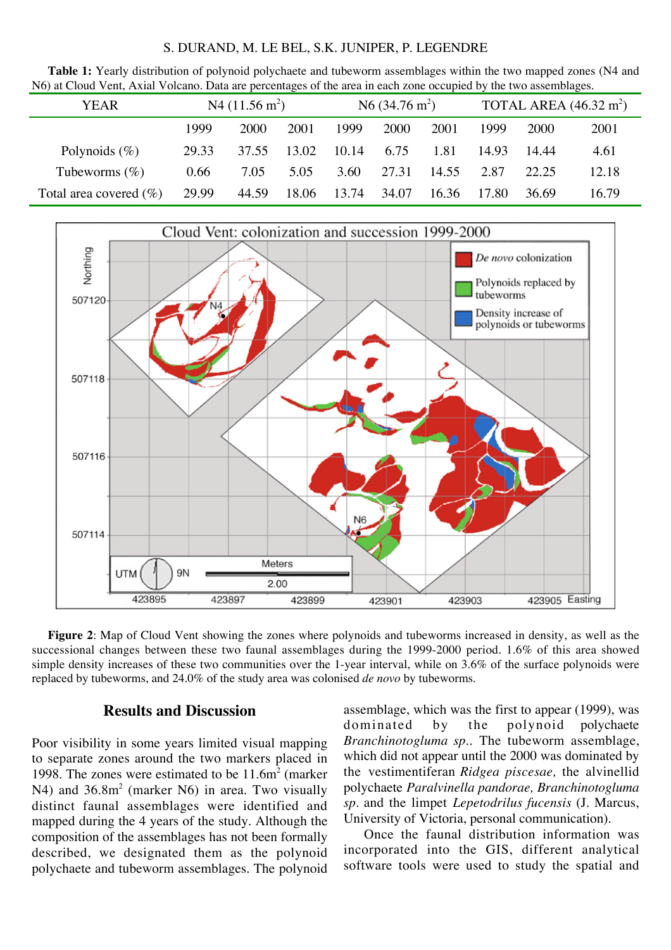#### S. DURAND, M. LE BEL, S.K. JUNIPER, P. LEGENDRE

**Table 1:** Yearly distribution of polynoid polychaete and tubeworm assemblages within the two mapped zones (N4 and N6) at Cloud Vent, Axial Volcano. Data are percentages of the area in each zone occupied by the two assemblages.

| <b>YEAR</b>               | N4 $(11.56 \text{ m}^2)$ |       |       | N <sub>6</sub> $(34.76 \text{ m}^2)$ |       |       | TOTAL AREA $(46.32 \text{ m}^2)$ |       |       |
|---------------------------|--------------------------|-------|-------|--------------------------------------|-------|-------|----------------------------------|-------|-------|
|                           | 1999                     | 2000  | 2001  | 1999                                 | 2000  | 2001  | 1999                             | 2000  | 2001  |
| Polynoids $(\%)$          | 29.33                    | 37.55 | 13.02 | 10.14                                | 6.75  | 1.81  | 14.93                            | 14.44 | 4.61  |
| Tubeworms $(\%)$          | 0.66                     | 7.05  | 5.05  | 3.60                                 | 27.31 | 14.55 | 2.87                             | 22.25 | 12.18 |
| Total area covered $(\%)$ | 29.99                    | 44.59 | 18.06 | 13.74                                | 34.07 | 16.36 | 17.80                            | 36.69 | 16.79 |



**Figure 2**: Map of Cloud Vent showing the zones where polynoids and tubeworms increased in density, as well as the successional changes between these two faunal assemblages during the 1999-2000 period. 1.6% of this area showed simple density increases of these two communities over the 1-year interval, while on 3.6% of the surface polynoids were replaced by tubeworms, and 24.0% of the study area was colonised *de novo* by tubeworms.

# **Results and Discussion**

Poor visibility in some years limited visual mapping to separate zones around the two markers placed in 1998. The zones were estimated to be  $11.6m<sup>2</sup>$  (marker N4) and 36.8m<sup>2</sup> (marker N6) in area. Two visually distinct faunal assemblages were identified and mapped during the 4 years of the study. Although the composition of the assemblages has not been formally described, we designated them as the polynoid polychaete and tubeworm assemblages. The polynoid

assemblage, which was the first to appear (1999), was dominated by the polynoid polychaete *Branchinotogluma sp.*. The tubeworm assemblage, which did not appear until the 2000 was dominated by the vestimentiferan *Ridgea piscesae,* the alvinellid polychaete *Paralvinella pandorae, Branchinotogluma sp.* and the limpet *Lepetodrilus fucensis* (J. Marcus, University of Victoria, personal communication).

Once the faunal distribution information was incorporated into the GIS, different analytical software tools were used to study the spatial and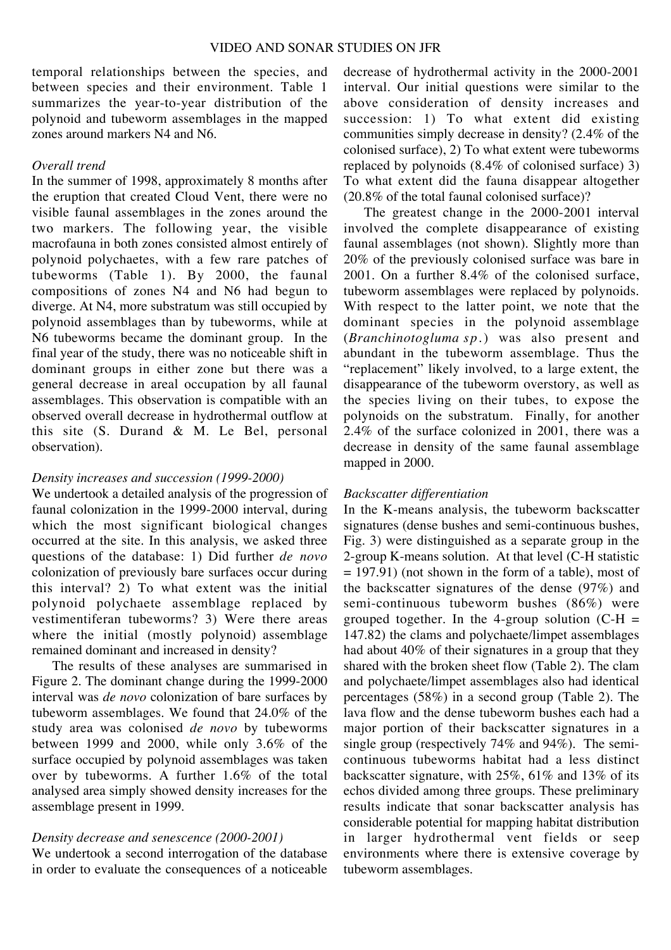temporal relationships between the species, and between species and their environment. Table 1 summarizes the year-to-year distribution of the polynoid and tubeworm assemblages in the mapped zones around markers N4 and N6.

#### *Overall trend*

In the summer of 1998, approximately 8 months after the eruption that created Cloud Vent, there were no visible faunal assemblages in the zones around the two markers. The following year, the visible macrofauna in both zones consisted almost entirely of polynoid polychaetes, with a few rare patches of tubeworms (Table 1). By 2000, the faunal compositions of zones N4 and N6 had begun to diverge. At N4, more substratum was still occupied by polynoid assemblages than by tubeworms, while at N6 tubeworms became the dominant group. In the final year of the study, there was no noticeable shift in dominant groups in either zone but there was a general decrease in areal occupation by all faunal assemblages. This observation is compatible with an observed overall decrease in hydrothermal outflow at this site (S. Durand & M. Le Bel, personal observation).

#### *Density increases and succession (1999-2000)*

We undertook a detailed analysis of the progression of faunal colonization in the 1999-2000 interval, during which the most significant biological changes occurred at the site. In this analysis, we asked three questions of the database: 1) Did further *de novo* colonization of previously bare surfaces occur during this interval? 2) To what extent was the initial polynoid polychaete assemblage replaced by vestimentiferan tubeworms? 3) Were there areas where the initial (mostly polynoid) assemblage remained dominant and increased in density?

The results of these analyses are summarised in Figure 2. The dominant change during the 1999-2000 interval was *de novo* colonization of bare surfaces by tubeworm assemblages. We found that 24.0% of the study area was colonised *de novo* by tubeworms between 1999 and 2000, while only 3.6% of the surface occupied by polynoid assemblages was taken over by tubeworms. A further 1.6% of the total analysed area simply showed density increases for the assemblage present in 1999.

# *Density decrease and senescence (2000-2001)*

We undertook a second interrogation of the database in order to evaluate the consequences of a noticeable

decrease of hydrothermal activity in the 2000-2001 interval. Our initial questions were similar to the above consideration of density increases and succession: 1) To what extent did existing communities simply decrease in density? (2.4% of the colonised surface), 2) To what extent were tubeworms replaced by polynoids (8.4% of colonised surface) 3) To what extent did the fauna disappear altogether (20.8% of the total faunal colonised surface)?

The greatest change in the 2000-2001 interval involved the complete disappearance of existing faunal assemblages (not shown). Slightly more than 20% of the previously colonised surface was bare in 2001. On a further 8.4% of the colonised surface, tubeworm assemblages were replaced by polynoids. With respect to the latter point, we note that the dominant species in the polynoid assemblage (*Branchinotogluma sp.*) was also present and abundant in the tubeworm assemblage. Thus the "replacement" likely involved, to a large extent, the disappearance of the tubeworm overstory, as well as the species living on their tubes, to expose the polynoids on the substratum. Finally, for another 2.4% of the surface colonized in 2001, there was a decrease in density of the same faunal assemblage mapped in 2000.

# *Backscatter differentiation*

In the K-means analysis, the tubeworm backscatter signatures (dense bushes and semi-continuous bushes, Fig. 3) were distinguished as a separate group in the 2-group K-means solution. At that level (C-H statistic  $= 197.91$ ) (not shown in the form of a table), most of the backscatter signatures of the dense (97%) and semi-continuous tubeworm bushes (86%) were grouped together. In the 4-group solution  $(C-H =$ 147.82) the clams and polychaete/limpet assemblages had about 40% of their signatures in a group that they shared with the broken sheet flow (Table 2). The clam and polychaete/limpet assemblages also had identical percentages (58%) in a second group (Table 2). The lava flow and the dense tubeworm bushes each had a major portion of their backscatter signatures in a single group (respectively 74% and 94%). The semicontinuous tubeworms habitat had a less distinct backscatter signature, with 25%, 61% and 13% of its echos divided among three groups. These preliminary results indicate that sonar backscatter analysis has considerable potential for mapping habitat distribution in larger hydrothermal vent fields or seep environments where there is extensive coverage by tubeworm assemblages.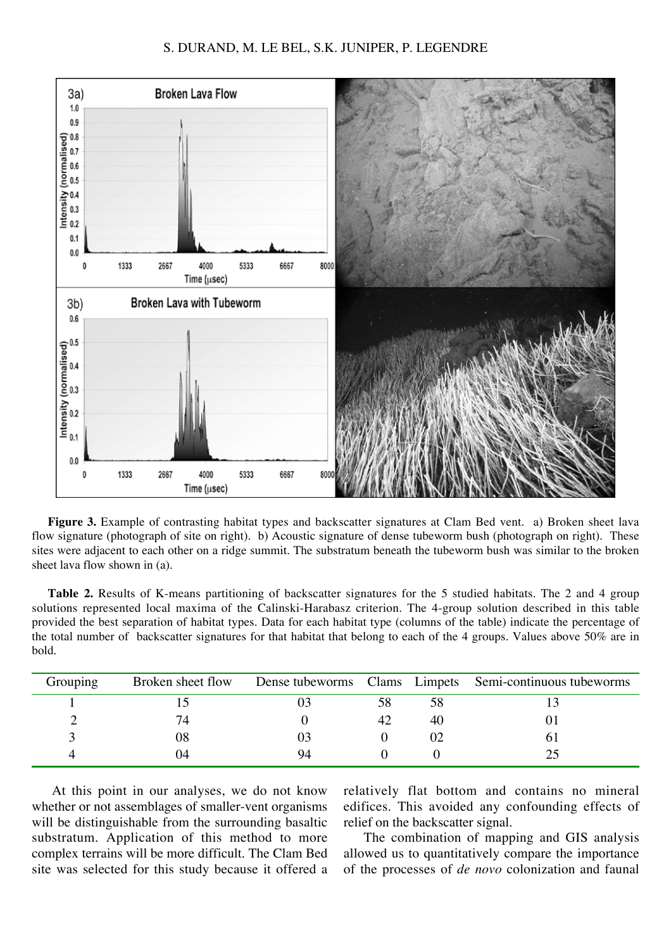#### S. DURAND, M. LE BEL, S.K. JUNIPER, P. LEGENDRE



**Figure 3.** Example of contrasting habitat types and backscatter signatures at Clam Bed vent. a) Broken sheet lava flow signature (photograph of site on right). b) Acoustic signature of dense tubeworm bush (photograph on right). These sites were adjacent to each other on a ridge summit. The substratum beneath the tubeworm bush was similar to the broken sheet lava flow shown in (a).

| <b>Table 2.</b> Results of K-means partitioning of backscatter signatures for the 5 studied habitats. The 2 and 4 group           |
|-----------------------------------------------------------------------------------------------------------------------------------|
| solutions represented local maxima of the Calinski-Harabasz criterion. The 4-group solution described in this table               |
| provided the best separation of habitat types. Data for each habitat type (columns of the table) indicate the percentage of       |
| the total number of backscatter signatures for that habitat that belong to each of the 4 groups. Values above 50% are in<br>bold. |

| Grouping | Broken sheet flow |    |    |    | Dense tubeworms Clams Limpets Semi-continuous tubeworms |
|----------|-------------------|----|----|----|---------------------------------------------------------|
|          |                   |    |    | 58 |                                                         |
|          | 74                |    | 42 | 40 |                                                         |
|          | 08                |    |    |    |                                                         |
|          | 04                | 94 |    |    |                                                         |

At this point in our analyses, we do not know whether or not assemblages of smaller-vent organisms will be distinguishable from the surrounding basaltic substratum. Application of this method to more complex terrains will be more difficult. The Clam Bed site was selected for this study because it offered a relatively flat bottom and contains no mineral edifices. This avoided any confounding effects of relief on the backscatter signal.

The combination of mapping and GIS analysis allowed us to quantitatively compare the importance of the processes of *de novo* colonization and faunal